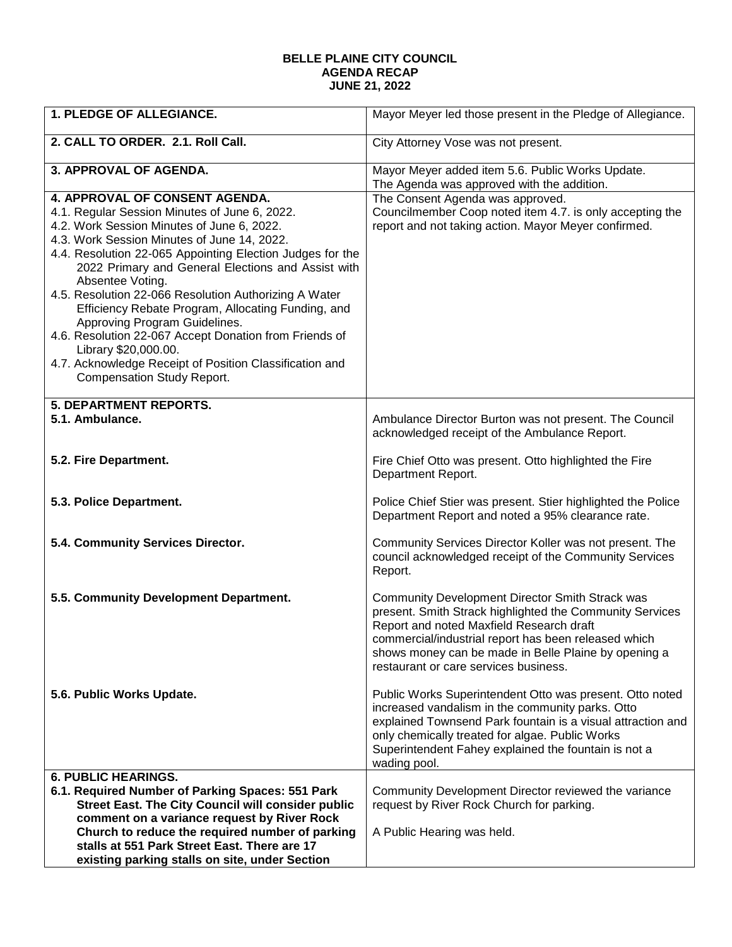## **BELLE PLAINE CITY COUNCIL AGENDA RECAP JUNE 21, 2022**

| 1. PLEDGE OF ALLEGIANCE.                                                                                                                                                                                                                                                                                                                                                                                                                                                                                                                                                                                                                                     | Mayor Meyer led those present in the Pledge of Allegiance.                                                                                                                                                                                                                                                       |
|--------------------------------------------------------------------------------------------------------------------------------------------------------------------------------------------------------------------------------------------------------------------------------------------------------------------------------------------------------------------------------------------------------------------------------------------------------------------------------------------------------------------------------------------------------------------------------------------------------------------------------------------------------------|------------------------------------------------------------------------------------------------------------------------------------------------------------------------------------------------------------------------------------------------------------------------------------------------------------------|
| 2. CALL TO ORDER. 2.1. Roll Call.                                                                                                                                                                                                                                                                                                                                                                                                                                                                                                                                                                                                                            | City Attorney Vose was not present.                                                                                                                                                                                                                                                                              |
| 3. APPROVAL OF AGENDA.                                                                                                                                                                                                                                                                                                                                                                                                                                                                                                                                                                                                                                       | Mayor Meyer added item 5.6. Public Works Update.<br>The Agenda was approved with the addition.                                                                                                                                                                                                                   |
| <b>4. APPROVAL OF CONSENT AGENDA.</b><br>4.1. Regular Session Minutes of June 6, 2022.<br>4.2. Work Session Minutes of June 6, 2022.<br>4.3. Work Session Minutes of June 14, 2022.<br>4.4. Resolution 22-065 Appointing Election Judges for the<br>2022 Primary and General Elections and Assist with<br>Absentee Voting.<br>4.5. Resolution 22-066 Resolution Authorizing A Water<br>Efficiency Rebate Program, Allocating Funding, and<br>Approving Program Guidelines.<br>4.6. Resolution 22-067 Accept Donation from Friends of<br>Library \$20,000.00.<br>4.7. Acknowledge Receipt of Position Classification and<br><b>Compensation Study Report.</b> | The Consent Agenda was approved.<br>Councilmember Coop noted item 4.7. is only accepting the<br>report and not taking action. Mayor Meyer confirmed.                                                                                                                                                             |
| <b>5. DEPARTMENT REPORTS.</b><br>5.1. Ambulance.                                                                                                                                                                                                                                                                                                                                                                                                                                                                                                                                                                                                             | Ambulance Director Burton was not present. The Council<br>acknowledged receipt of the Ambulance Report.                                                                                                                                                                                                          |
| 5.2. Fire Department.                                                                                                                                                                                                                                                                                                                                                                                                                                                                                                                                                                                                                                        | Fire Chief Otto was present. Otto highlighted the Fire<br>Department Report.                                                                                                                                                                                                                                     |
| 5.3. Police Department.                                                                                                                                                                                                                                                                                                                                                                                                                                                                                                                                                                                                                                      | Police Chief Stier was present. Stier highlighted the Police<br>Department Report and noted a 95% clearance rate.                                                                                                                                                                                                |
| 5.4. Community Services Director.                                                                                                                                                                                                                                                                                                                                                                                                                                                                                                                                                                                                                            | Community Services Director Koller was not present. The<br>council acknowledged receipt of the Community Services<br>Report.                                                                                                                                                                                     |
| 5.5. Community Development Department.                                                                                                                                                                                                                                                                                                                                                                                                                                                                                                                                                                                                                       | Community Development Director Smith Strack was<br>present. Smith Strack highlighted the Community Services<br>Report and noted Maxfield Research draft<br>commercial/industrial report has been released which<br>shows money can be made in Belle Plaine by opening a<br>restaurant or care services business. |
| 5.6. Public Works Update.                                                                                                                                                                                                                                                                                                                                                                                                                                                                                                                                                                                                                                    | Public Works Superintendent Otto was present. Otto noted<br>increased vandalism in the community parks. Otto<br>explained Townsend Park fountain is a visual attraction and<br>only chemically treated for algae. Public Works<br>Superintendent Fahey explained the fountain is not a<br>wading pool.           |
| <b>6. PUBLIC HEARINGS.</b>                                                                                                                                                                                                                                                                                                                                                                                                                                                                                                                                                                                                                                   |                                                                                                                                                                                                                                                                                                                  |
| 6.1. Required Number of Parking Spaces: 551 Park                                                                                                                                                                                                                                                                                                                                                                                                                                                                                                                                                                                                             | Community Development Director reviewed the variance                                                                                                                                                                                                                                                             |
| Street East. The City Council will consider public                                                                                                                                                                                                                                                                                                                                                                                                                                                                                                                                                                                                           | request by River Rock Church for parking.                                                                                                                                                                                                                                                                        |
| comment on a variance request by River Rock                                                                                                                                                                                                                                                                                                                                                                                                                                                                                                                                                                                                                  |                                                                                                                                                                                                                                                                                                                  |
| Church to reduce the required number of parking                                                                                                                                                                                                                                                                                                                                                                                                                                                                                                                                                                                                              | A Public Hearing was held.                                                                                                                                                                                                                                                                                       |
| stalls at 551 Park Street East. There are 17<br>existing parking stalls on site, under Section                                                                                                                                                                                                                                                                                                                                                                                                                                                                                                                                                               |                                                                                                                                                                                                                                                                                                                  |
|                                                                                                                                                                                                                                                                                                                                                                                                                                                                                                                                                                                                                                                              |                                                                                                                                                                                                                                                                                                                  |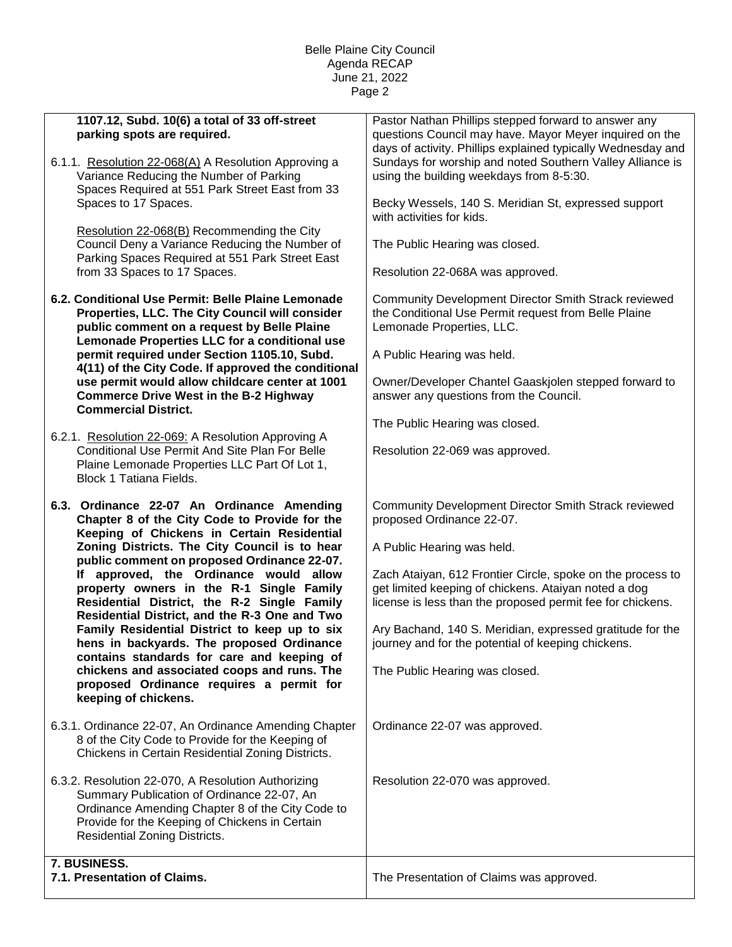## Belle Plaine City Council Agenda RECAP June 21, 2022 Page 2

| 1107.12, Subd. 10(6) a total of 33 off-street                                                               | Pastor Nathan Phillips stepped forward to answer any                                            |
|-------------------------------------------------------------------------------------------------------------|-------------------------------------------------------------------------------------------------|
| parking spots are required.                                                                                 | questions Council may have. Mayor Meyer inquired on the                                         |
|                                                                                                             | days of activity. Phillips explained typically Wednesday and                                    |
| 6.1.1. Resolution 22-068(A) A Resolution Approving a                                                        | Sundays for worship and noted Southern Valley Alliance is                                       |
| Variance Reducing the Number of Parking<br>Spaces Required at 551 Park Street East from 33                  | using the building weekdays from 8-5:30.                                                        |
| Spaces to 17 Spaces.                                                                                        | Becky Wessels, 140 S. Meridian St, expressed support                                            |
|                                                                                                             | with activities for kids.                                                                       |
| Resolution 22-068(B) Recommending the City                                                                  |                                                                                                 |
| Council Deny a Variance Reducing the Number of<br>Parking Spaces Required at 551 Park Street East           | The Public Hearing was closed.                                                                  |
| from 33 Spaces to 17 Spaces.                                                                                | Resolution 22-068A was approved.                                                                |
|                                                                                                             |                                                                                                 |
| 6.2. Conditional Use Permit: Belle Plaine Lemonade                                                          | Community Development Director Smith Strack reviewed                                            |
| Properties, LLC. The City Council will consider<br>public comment on a request by Belle Plaine              | the Conditional Use Permit request from Belle Plaine<br>Lemonade Properties, LLC.               |
| Lemonade Properties LLC for a conditional use                                                               |                                                                                                 |
| permit required under Section 1105.10, Subd.                                                                | A Public Hearing was held.                                                                      |
| 4(11) of the City Code. If approved the conditional<br>use permit would allow childcare center at 1001      |                                                                                                 |
| <b>Commerce Drive West in the B-2 Highway</b>                                                               | Owner/Developer Chantel Gaaskjolen stepped forward to<br>answer any questions from the Council. |
| <b>Commercial District.</b>                                                                                 |                                                                                                 |
|                                                                                                             | The Public Hearing was closed.                                                                  |
| 6.2.1. Resolution 22-069: A Resolution Approving A<br><b>Conditional Use Permit And Site Plan For Belle</b> | Resolution 22-069 was approved.                                                                 |
| Plaine Lemonade Properties LLC Part Of Lot 1,                                                               |                                                                                                 |
| <b>Block 1 Tatiana Fields.</b>                                                                              |                                                                                                 |
| 6.3. Ordinance 22-07 An Ordinance Amending                                                                  | Community Development Director Smith Strack reviewed                                            |
| Chapter 8 of the City Code to Provide for the                                                               | proposed Ordinance 22-07.                                                                       |
| Keeping of Chickens in Certain Residential                                                                  |                                                                                                 |
| Zoning Districts. The City Council is to hear<br>public comment on proposed Ordinance 22-07.                | A Public Hearing was held.                                                                      |
| approved, the Ordinance would allow<br>lf –                                                                 | Zach Ataiyan, 612 Frontier Circle, spoke on the process to                                      |
| property owners in the R-1 Single Family                                                                    | get limited keeping of chickens. Ataiyan noted a dog                                            |
| Residential District, the R-2 Single Family<br>Residential District, and the R-3 One and Two                | license is less than the proposed permit fee for chickens.                                      |
| Family Residential District to keep up to six                                                               | Ary Bachand, 140 S. Meridian, expressed gratitude for the                                       |
| hens in backyards. The proposed Ordinance                                                                   | journey and for the potential of keeping chickens.                                              |
| contains standards for care and keeping of<br>chickens and associated coops and runs. The                   | The Public Hearing was closed.                                                                  |
| proposed Ordinance requires a permit for                                                                    |                                                                                                 |
| keeping of chickens.                                                                                        |                                                                                                 |
| 6.3.1. Ordinance 22-07, An Ordinance Amending Chapter                                                       | Ordinance 22-07 was approved.                                                                   |
| 8 of the City Code to Provide for the Keeping of                                                            |                                                                                                 |
| Chickens in Certain Residential Zoning Districts.                                                           |                                                                                                 |
| 6.3.2. Resolution 22-070, A Resolution Authorizing                                                          | Resolution 22-070 was approved.                                                                 |
| Summary Publication of Ordinance 22-07, An                                                                  |                                                                                                 |
| Ordinance Amending Chapter 8 of the City Code to<br>Provide for the Keeping of Chickens in Certain          |                                                                                                 |
| <b>Residential Zoning Districts.</b>                                                                        |                                                                                                 |
|                                                                                                             |                                                                                                 |
| 7. BUSINESS.<br>7.1. Presentation of Claims.                                                                | The Presentation of Claims was approved.                                                        |
|                                                                                                             |                                                                                                 |